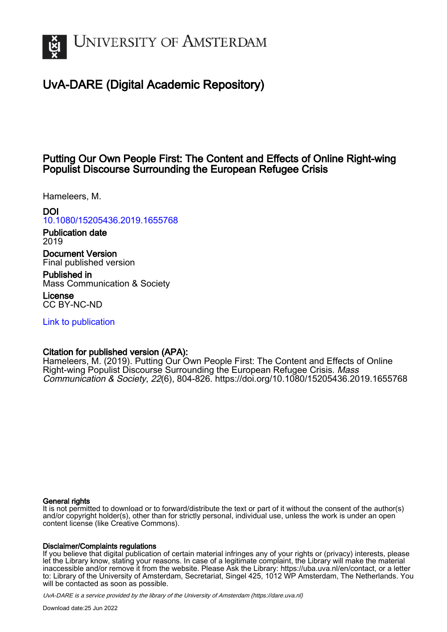

# UvA-DARE (Digital Academic Repository)

# Putting Our Own People First: The Content and Effects of Online Right-wing Populist Discourse Surrounding the European Refugee Crisis

Hameleers, M.

# DOI

# [10.1080/15205436.2019.1655768](https://doi.org/10.1080/15205436.2019.1655768)

Publication date 2019

Document Version Final published version

Published in Mass Communication & Society

License CC BY-NC-ND

[Link to publication](https://dare.uva.nl/personal/pure/en/publications/putting-our-own-people-first-the-content-and-effects-of-online-rightwing-populist-discourse-surrounding-the-european-refugee-crisis(57bb76c2-dbd5-4e23-94d5-034c9090d62f).html)

# Citation for published version (APA):

Hameleers, M. (2019). Putting Our Own People First: The Content and Effects of Online Right-wing Populist Discourse Surrounding the European Refugee Crisis. Mass Communication & Society, 22(6), 804-826.<https://doi.org/10.1080/15205436.2019.1655768>

# General rights

It is not permitted to download or to forward/distribute the text or part of it without the consent of the author(s) and/or copyright holder(s), other than for strictly personal, individual use, unless the work is under an open content license (like Creative Commons).

# Disclaimer/Complaints regulations

If you believe that digital publication of certain material infringes any of your rights or (privacy) interests, please let the Library know, stating your reasons. In case of a legitimate complaint, the Library will make the material inaccessible and/or remove it from the website. Please Ask the Library: https://uba.uva.nl/en/contact, or a letter to: Library of the University of Amsterdam, Secretariat, Singel 425, 1012 WP Amsterdam, The Netherlands. You will be contacted as soon as possible.

UvA-DARE is a service provided by the library of the University of Amsterdam (http*s*://dare.uva.nl)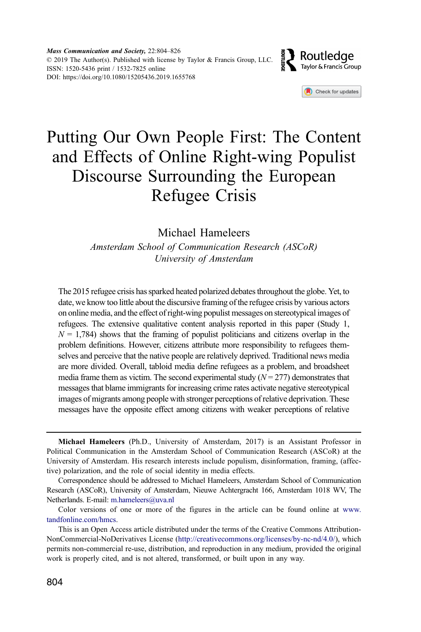

Check for updates

# Putting Our Own People First: The Content and Effects of Online Right-wing Populist Discourse Surrounding the European Refugee Crisis

Michael Hameleers

Amsterdam School of Communication Research (ASCoR) University of Amsterdam

The 2015 refugee crisis has sparked heated polarized debates throughout the globe. Yet, to date, we know too little about the discursive framing of the refugee crisis by various actors on online media, and the effect of right-wing populist messages on stereotypical images of refugees. The extensive qualitative content analysis reported in this paper (Study 1,  $N = 1,784$ ) shows that the framing of populist politicians and citizens overlap in the problem definitions. However, citizens attribute more responsibility to refugees themselves and perceive that the native people are relatively deprived. Traditional news media are more divided. Overall, tabloid media define refugees as a problem, and broadsheet media frame them as victim. The second experimental study  $(N = 277)$  demonstrates that messages that blame immigrants for increasing crime rates activate negative stereotypical images of migrants among people with stronger perceptions of relative deprivation. These messages have the opposite effect among citizens with weaker perceptions of relative

Michael Hameleers (Ph.D., University of Amsterdam, 2017) is an Assistant Professor in Political Communication in the Amsterdam School of Communication Research (ASCoR) at the University of Amsterdam. His research interests include populism, disinformation, framing, (affective) polarization, and the role of social identity in media effects.

Correspondence should be addressed to Michael Hameleers, Amsterdam School of Communication Research (ASCoR), University of Amsterdam, Nieuwe Achtergracht 166, Amsterdam 1018 WV, The Netherlands. E-mail: [m.hameleers@uva.nl](mailto:m.hameleers@uva.nl)

Color versions of one or more of the figures in the article can be found online at [www.](http://www.tandfonline.com/hmcs) [tandfonline.com/hmcs](http://www.tandfonline.com/hmcs).

This is an Open Access article distributed under the terms of the Creative Commons Attribution-NonCommercial-NoDerivatives License (http://creativecommons.org/licenses/by-nc-nd/4.0/), which permits non-commercial re-use, distribution, and reproduction in any medium, provided the original work is properly cited, and is not altered, transformed, or built upon in any way.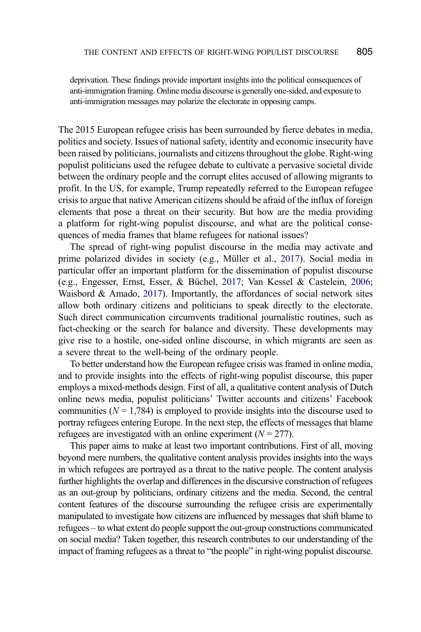deprivation. These findings provide important insights into the political consequences of anti-immigration framing. Online media discourse is generally one-sided, and exposure to anti-immigration messages may polarize the electorate in opposing camps.

The 2015 European refugee crisis has been surrounded by fierce debates in media, politics and society. Issues of national safety, identity and economic insecurity have been raised by politicians, journalists and citizens throughout the globe. Right-wing populist politicians used the refugee debate to cultivate a pervasive societal divide between the ordinary people and the corrupt elites accused of allowing migrants to profit. In the US, for example, Trump repeatedly referred to the European refugee crisis to argue that native American citizens should be afraid of the influx of foreign elements that pose a threat on their security. But how are the media providing a platform for right-wing populist discourse, and what are the political consequences of media frames that blame refugees for national issues?

<span id="page-2-2"></span><span id="page-2-1"></span><span id="page-2-0"></span>The spread of right-wing populist discourse in the media may activate and prime polarized divides in society (e.g., Müller et al., [2017](#page-22-0)). Social media in particular offer an important platform for the dissemination of populist discourse (e.g., Engesser, Ernst, Esser, & Büchel, [2017](#page-21-0); Van Kessel & Castelein, [2006;](#page-22-1) Waisbord  $& A$ mado, [2017](#page-22-2)). Importantly, the affordances of social network sites allow both ordinary citizens and politicians to speak directly to the electorate. Such direct communication circumvents traditional journalistic routines, such as fact-checking or the search for balance and diversity. These developments may give rise to a hostile, one-sided online discourse, in which migrants are seen as a severe threat to the well-being of the ordinary people.

To better understand how the European refugee crisis was framed in online media, and to provide insights into the effects of right-wing populist discourse, this paper employs a mixed-methods design. First of all, a qualitative content analysis of Dutch online news media, populist politicians' Twitter accounts and citizens' Facebook communities ( $N = 1,784$ ) is employed to provide insights into the discourse used to portray refugees entering Europe. In the next step, the effects of messages that blame refugees are investigated with an online experiment  $(N = 277)$ .

This paper aims to make at least two important contributions. First of all, moving beyond mere numbers, the qualitative content analysis provides insights into the ways in which refugees are portrayed as a threat to the native people. The content analysis further highlights the overlap and differences in the discursive construction of refugees as an out-group by politicians, ordinary citizens and the media. Second, the central content features of the discourse surrounding the refugee crisis are experimentally manipulated to investigate how citizens are influenced by messages that shift blame to refugees – to what extent do people support the out-group constructions communicated on social media? Taken together, this research contributes to our understanding of the impact of framing refugees as a threat to "the people" in right-wing populist discourse.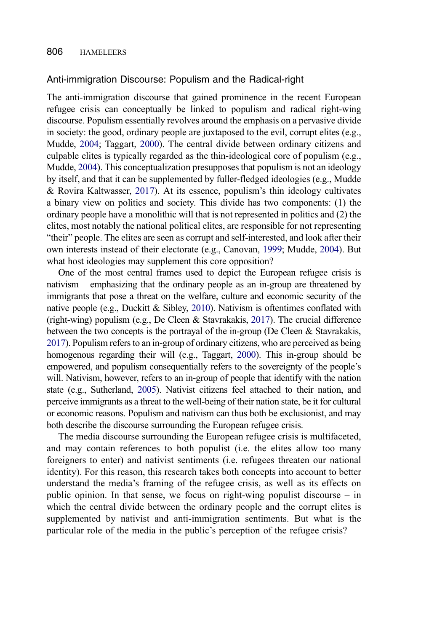#### Anti-immigration Discourse: Populism and the Radical-right

The anti-immigration discourse that gained prominence in the recent European refugee crisis can conceptually be linked to populism and radical right-wing discourse. Populism essentially revolves around the emphasis on a pervasive divide in society: the good, ordinary people are juxtaposed to the evil, corrupt elites (e.g., Mudde, [2004](#page-22-3); Taggart, [2000](#page-22-4)). The central divide between ordinary citizens and culpable elites is typically regarded as the thin-ideological core of populism (e.g., Mudde, [2004\)](#page-22-3). This conceptualization presupposes that populism is not an ideology by itself, and that it can be supplemented by fuller-fledged ideologies (e.g., Mudde & Rovira Kaltwasser, [2017](#page-22-5)). At its essence, populism's thin ideology cultivates a binary view on politics and society. This divide has two components: (1) the ordinary people have a monolithic will that is not represented in politics and (2) the elites, most notably the national political elites, are responsible for not representing "their" people. The elites are seen as corrupt and self-interested, and look after their own interests instead of their electorate (e.g., Canovan, [1999](#page-21-1); Mudde, [2004\)](#page-22-3). But what host ideologies may supplement this core opposition?

<span id="page-3-5"></span><span id="page-3-3"></span><span id="page-3-2"></span><span id="page-3-1"></span><span id="page-3-0"></span>One of the most central frames used to depict the European refugee crisis is nativism – emphasizing that the ordinary people as an in-group are threatened by immigrants that pose a threat on the welfare, culture and economic security of the native people (e.g., Duckitt  $\&$  Sibley, [2010\)](#page-21-2). Nativism is oftentimes conflated with (right-wing) populism (e.g., De Cleen & Stavrakakis, [2017\)](#page-21-3). The crucial difference between the two concepts is the portrayal of the in-group (De Cleen  $\&$  Stavrakakis, [2017](#page-21-3)). Populism refers to an in-group of ordinary citizens, who are perceived as being homogenous regarding their will (e.g., Taggart, [2000](#page-22-4)). This in-group should be empowered, and populism consequentially refers to the sovereignty of the people's will. Nativism, however, refers to an in-group of people that identify with the nation state (e.g., Sutherland, [2005](#page-22-6)). Nativist citizens feel attached to their nation, and perceive immigrants as a threat to the well-being of their nation state, be it for cultural or economic reasons. Populism and nativism can thus both be exclusionist, and may both describe the discourse surrounding the European refugee crisis.

<span id="page-3-4"></span>The media discourse surrounding the European refugee crisis is multifaceted, and may contain references to both populist (i.e. the elites allow too many foreigners to enter) and nativist sentiments (i.e. refugees threaten our national identity). For this reason, this research takes both concepts into account to better understand the media's framing of the refugee crisis, as well as its effects on public opinion. In that sense, we focus on right-wing populist discourse – in which the central divide between the ordinary people and the corrupt elites is supplemented by nativist and anti-immigration sentiments. But what is the particular role of the media in the public's perception of the refugee crisis?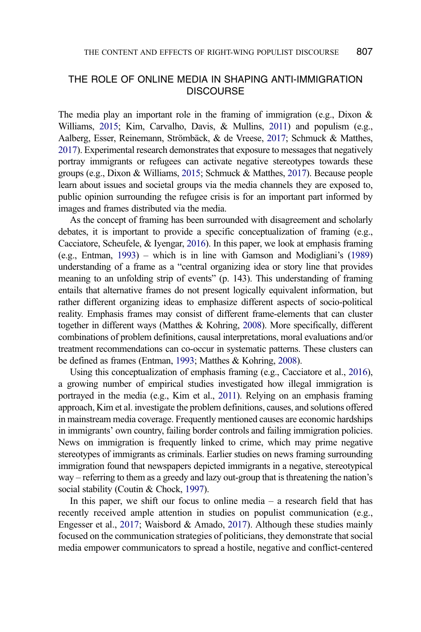# THE ROLE OF ONLINE MEDIA IN SHAPING ANTI-IMMIGRATION **DISCOURSE**

<span id="page-4-0"></span>The media play an important role in the framing of immigration (e.g., Dixon  $\&$ Williams, [2015](#page-21-4); Kim, Carvalho, Davis, & Mullins, [2011](#page-21-5)) and populism (e.g., Aalberg, Esser, Reinemann, Strömbäck, & de Vreese, [2017](#page-20-0); Schmuck & Matthes, [2017\)](#page-22-7). Experimental research demonstrates that exposure to messages that negatively portray immigrants or refugees can activate negative stereotypes towards these groups (e.g., Dixon & Williams, [2015;](#page-21-4) Schmuck & Matthes, [2017](#page-22-7)). Because people learn about issues and societal groups via the media channels they are exposed to, public opinion surrounding the refugee crisis is for an important part informed by images and frames distributed via the media.

<span id="page-4-5"></span><span id="page-4-3"></span>As the concept of framing has been surrounded with disagreement and scholarly debates, it is important to provide a specific conceptualization of framing (e.g., Cacciatore, Scheufele, & Iyengar, [2016\)](#page-21-6). In this paper, we look at emphasis framing (e.g., Entman, [1993\)](#page-21-7) – which is in line with Gamson and Modigliani's [\(1989](#page-21-8)) understanding of a frame as a "central organizing idea or story line that provides meaning to an unfolding strip of events" (p. 143). This understanding of framing entails that alternative frames do not present logically equivalent information, but rather different organizing ideas to emphasize different aspects of socio-political reality. Emphasis frames may consist of different frame-elements that can cluster together in different ways (Matthes & Kohring, [2008](#page-22-8)). More specifically, different combinations of problem definitions, causal interpretations, moral evaluations and/or treatment recommendations can co-occur in systematic patterns. These clusters can be defined as frames (Entman, [1993](#page-21-7); Matthes & Kohring, [2008\)](#page-22-8).

<span id="page-4-6"></span><span id="page-4-4"></span><span id="page-4-1"></span>Using this conceptualization of emphasis framing (e.g., Cacciatore et al., [2016\)](#page-21-6), a growing number of empirical studies investigated how illegal immigration is portrayed in the media (e.g., Kim et al., [2011\)](#page-21-5). Relying on an emphasis framing approach, Kim et al. investigate the problem definitions, causes, and solutions offered in mainstream media coverage. Frequently mentioned causes are economic hardships in immigrants' own country, failing border controls and failing immigration policies. News on immigration is frequently linked to crime, which may prime negative stereotypes of immigrants as criminals. Earlier studies on news framing surrounding immigration found that newspapers depicted immigrants in a negative, stereotypical way – referring to them as a greedy and lazy out-group that is threatening the nation's social stability (Coutin & Chock, [1997](#page-21-9)).

<span id="page-4-2"></span>In this paper, we shift our focus to online media  $-$  a research field that has recently received ample attention in studies on populist communication (e.g., Engesser et al., [2017;](#page-21-0) Waisbord & Amado, [2017](#page-22-2)). Although these studies mainly focused on the communication strategies of politicians, they demonstrate that social media empower communicators to spread a hostile, negative and conflict-centered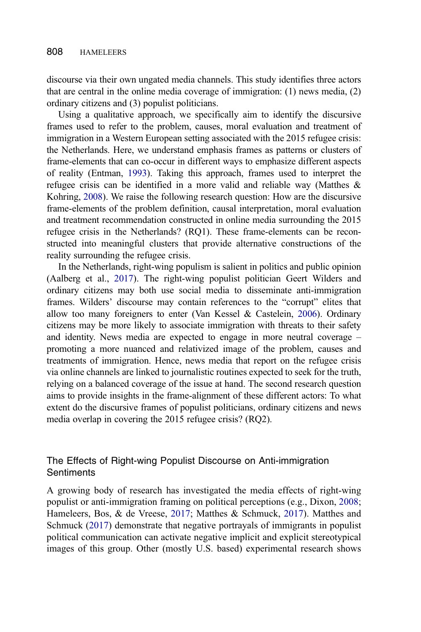discourse via their own ungated media channels. This study identifies three actors that are central in the online media coverage of immigration: (1) news media, (2) ordinary citizens and (3) populist politicians.

Using a qualitative approach, we specifically aim to identify the discursive frames used to refer to the problem, causes, moral evaluation and treatment of immigration in a Western European setting associated with the 2015 refugee crisis: the Netherlands. Here, we understand emphasis frames as patterns or clusters of frame-elements that can co-occur in different ways to emphasize different aspects of reality (Entman, [1993\)](#page-21-7). Taking this approach, frames used to interpret the refugee crisis can be identified in a more valid and reliable way (Matthes & Kohring, [2008](#page-22-8)). We raise the following research question: How are the discursive frame-elements of the problem definition, causal interpretation, moral evaluation and treatment recommendation constructed in online media surrounding the 2015 refugee crisis in the Netherlands? (RQ1). These frame-elements can be reconstructed into meaningful clusters that provide alternative constructions of the reality surrounding the refugee crisis.

In the Netherlands, right-wing populism is salient in politics and public opinion (Aalberg et al., [2017\)](#page-20-0). The right-wing populist politician Geert Wilders and ordinary citizens may both use social media to disseminate anti-immigration frames. Wilders' discourse may contain references to the "corrupt" elites that allow too many foreigners to enter (Van Kessel & Castelein, [2006](#page-22-1)). Ordinary citizens may be more likely to associate immigration with threats to their safety and identity. News media are expected to engage in more neutral coverage – promoting a more nuanced and relativized image of the problem, causes and treatments of immigration. Hence, news media that report on the refugee crisis via online channels are linked to journalistic routines expected to seek for the truth, relying on a balanced coverage of the issue at hand. The second research question aims to provide insights in the frame-alignment of these different actors: To what extent do the discursive frames of populist politicians, ordinary citizens and news media overlap in covering the 2015 refugee crisis? (RQ2).

# The Effects of Right-wing Populist Discourse on Anti-immigration **Sentiments**

<span id="page-5-2"></span><span id="page-5-1"></span><span id="page-5-0"></span>A growing body of research has investigated the media effects of right-wing populist or anti-immigration framing on political perceptions (e.g., Dixon, [2008;](#page-21-10) Hameleers, Bos, & de Vreese, [2017](#page-21-11); Matthes & Schmuck, [2017](#page-22-9)). Matthes and Schmuck [\(2017](#page-22-9)) demonstrate that negative portrayals of immigrants in populist political communication can activate negative implicit and explicit stereotypical images of this group. Other (mostly U.S. based) experimental research shows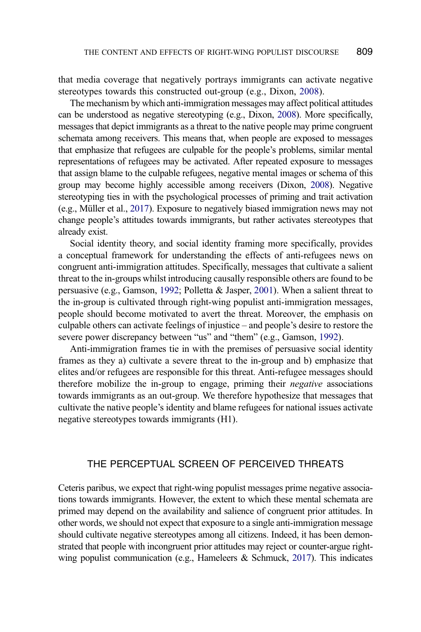that media coverage that negatively portrays immigrants can activate negative stereotypes towards this constructed out-group (e.g., Dixon, [2008](#page-21-10)).

The mechanism by which anti-immigration messages may affect political attitudes can be understood as negative stereotyping (e.g., Dixon, [2008\)](#page-21-10). More specifically, messages that depict immigrants as a threat to the native people may prime congruent schemata among receivers. This means that, when people are exposed to messages that emphasize that refugees are culpable for the people's problems, similar mental representations of refugees may be activated. After repeated exposure to messages that assign blame to the culpable refugees, negative mental images or schema of this group may become highly accessible among receivers (Dixon, [2008\)](#page-21-10). Negative stereotyping ties in with the psychological processes of priming and trait activation (e.g., Müller et al., [2017\)](#page-22-0). Exposure to negatively biased immigration news may not change people's attitudes towards immigrants, but rather activates stereotypes that already exist.

<span id="page-6-2"></span>Social identity theory, and social identity framing more specifically, provides a conceptual framework for understanding the effects of anti-refugees news on congruent anti-immigration attitudes. Specifically, messages that cultivate a salient threat to the in-groups whilst introducing causally responsible others are found to be persuasive (e.g., Gamson, [1992](#page-21-12); Polletta & Jasper, [2001](#page-22-10)). When a salient threat to the in-group is cultivated through right-wing populist anti-immigration messages, people should become motivated to avert the threat. Moreover, the emphasis on culpable others can activate feelings of injustice – and people's desire to restore the severe power discrepancy between "us" and "them" (e.g., Gamson, [1992\)](#page-21-12).

<span id="page-6-0"></span>Anti-immigration frames tie in with the premises of persuasive social identity frames as they a) cultivate a severe threat to the in-group and b) emphasize that elites and/or refugees are responsible for this threat. Anti-refugee messages should therefore mobilize the in-group to engage, priming their negative associations towards immigrants as an out-group. We therefore hypothesize that messages that cultivate the native people's identity and blame refugees for national issues activate negative stereotypes towards immigrants (H1).

### THE PERCEPTUAL SCREEN OF PERCEIVED THREATS

<span id="page-6-1"></span>Ceteris paribus, we expect that right-wing populist messages prime negative associations towards immigrants. However, the extent to which these mental schemata are primed may depend on the availability and salience of congruent prior attitudes. In other words, we should not expect that exposure to a single anti-immigration message should cultivate negative stereotypes among all citizens. Indeed, it has been demonstrated that people with incongruent prior attitudes may reject or counter-argue rightwing populist communication (e.g., Hameleers  $\&$  Schmuck, [2017](#page-21-13)). This indicates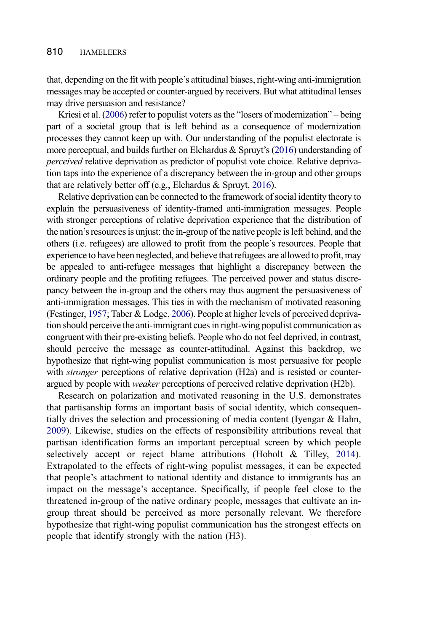that, depending on the fit with people's attitudinal biases, right-wing anti-immigration messages may be accepted or counter-argued by receivers. But what attitudinal lenses may drive persuasion and resistance?

<span id="page-7-4"></span>Kriesi et al. [\(2006](#page-22-11)) refer to populist voters as the "losers of modernization" – being part of a societal group that is left behind as a consequence of modernization processes they cannot keep up with. Our understanding of the populist electorate is more perceptual, and builds further on Elchardus & Spruyt's [\(2016](#page-21-14)) understanding of perceived relative deprivation as predictor of populist vote choice. Relative deprivation taps into the experience of a discrepancy between the in-group and other groups that are relatively better off (e.g., Elchardus & Spruyt, [2016](#page-21-14)).

<span id="page-7-0"></span>Relative deprivation can be connected to the framework of social identity theory to explain the persuasiveness of identity-framed anti-immigration messages. People with stronger perceptions of relative deprivation experience that the distribution of the nation's resources is unjust: the in-group of the native people is left behind, and the others (i.e. refugees) are allowed to profit from the people's resources. People that experience to have been neglected, and believe that refugees are allowed to profit, may be appealed to anti-refugee messages that highlight a discrepancy between the ordinary people and the profiting refugees. The perceived power and status discrepancy between the in-group and the others may thus augment the persuasiveness of anti-immigration messages. This ties in with the mechanism of motivated reasoning (Festinger, [1957;](#page-21-15) Taber & Lodge, [2006](#page-22-12)). People at higher levels of perceived deprivation should perceive the anti-immigrant cues in right-wing populist communication as congruent with their pre-existing beliefs. People who do not feel deprived, in contrast, should perceive the message as counter-attitudinal. Against this backdrop, we hypothesize that right-wing populist communication is most persuasive for people with *stronger* perceptions of relative deprivation (H2a) and is resisted or counterargued by people with weaker perceptions of perceived relative deprivation (H2b).

<span id="page-7-3"></span><span id="page-7-2"></span><span id="page-7-1"></span>Research on polarization and motivated reasoning in the U.S. demonstrates that partisanship forms an important basis of social identity, which consequentially drives the selection and processioning of media content (Iyengar & Hahn, [2009\)](#page-21-16). Likewise, studies on the effects of responsibility attributions reveal that partisan identification forms an important perceptual screen by which people selectively accept or reject blame attributions (Hobolt & Tilley, [2014\)](#page-21-17). Extrapolated to the effects of right-wing populist messages, it can be expected that people's attachment to national identity and distance to immigrants has an impact on the message's acceptance. Specifically, if people feel close to the threatened in-group of the native ordinary people, messages that cultivate an ingroup threat should be perceived as more personally relevant. We therefore hypothesize that right-wing populist communication has the strongest effects on people that identify strongly with the nation (H3).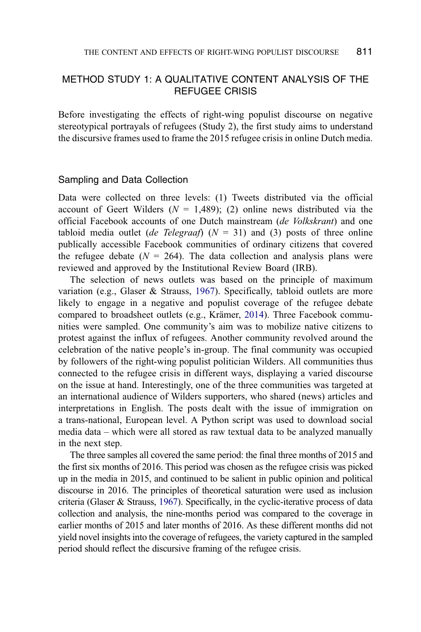# METHOD STUDY 1: A QUALITATIVE CONTENT ANALYSIS OF THE REFUGEE CRISIS

Before investigating the effects of right-wing populist discourse on negative stereotypical portrayals of refugees (Study 2), the first study aims to understand the discursive frames used to frame the 2015 refugee crisis in online Dutch media.

#### Sampling and Data Collection

Data were collected on three levels: (1) Tweets distributed via the official account of Geert Wilders ( $N = 1,489$ ); (2) online news distributed via the official Facebook accounts of one Dutch mainstream (de Volkskrant) and one tabloid media outlet (de Telegraaf) ( $N = 31$ ) and (3) posts of three online publically accessible Facebook communities of ordinary citizens that covered the refugee debate ( $N = 264$ ). The data collection and analysis plans were reviewed and approved by the Institutional Review Board (IRB).

<span id="page-8-1"></span>The selection of news outlets was based on the principle of maximum variation (e.g., Glaser & Strauss, [1967](#page-21-18)). Specifically, tabloid outlets are more likely to engage in a negative and populist coverage of the refugee debate compared to broadsheet outlets (e.g., Krämer, [2014\)](#page-21-19). Three Facebook communities were sampled. One community's aim was to mobilize native citizens to protest against the influx of refugees. Another community revolved around the celebration of the native people's in-group. The final community was occupied by followers of the right-wing populist politician Wilders. All communities thus connected to the refugee crisis in different ways, displaying a varied discourse on the issue at hand. Interestingly, one of the three communities was targeted at an international audience of Wilders supporters, who shared (news) articles and interpretations in English. The posts dealt with the issue of immigration on a trans-national, European level. A Python script was used to download social media data – which were all stored as raw textual data to be analyzed manually in the next step.

<span id="page-8-0"></span>The three samples all covered the same period: the final three months of 2015 and the first six months of 2016. This period was chosen as the refugee crisis was picked up in the media in 2015, and continued to be salient in public opinion and political discourse in 2016. The principles of theoretical saturation were used as inclusion criteria (Glaser & Strauss, [1967](#page-21-18)). Specifically, in the cyclic-iterative process of data collection and analysis, the nine-months period was compared to the coverage in earlier months of 2015 and later months of 2016. As these different months did not yield novel insights into the coverage of refugees, the variety captured in the sampled period should reflect the discursive framing of the refugee crisis.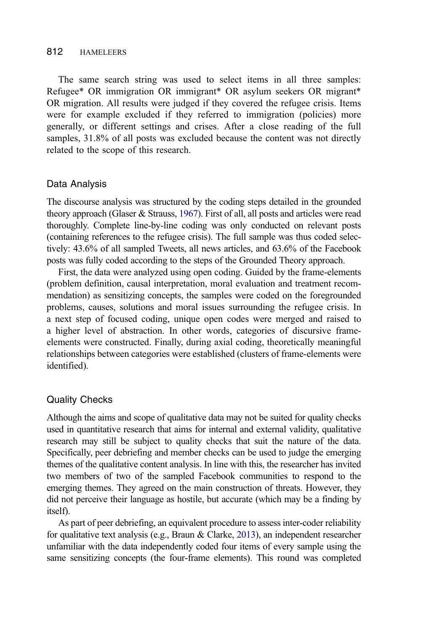#### 812 HAMELEERS

The same search string was used to select items in all three samples: Refugee\* OR immigration OR immigrant\* OR asylum seekers OR migrant\* OR migration. All results were judged if they covered the refugee crisis. Items were for example excluded if they referred to immigration (policies) more generally, or different settings and crises. After a close reading of the full samples, 31.8% of all posts was excluded because the content was not directly related to the scope of this research.

#### Data Analysis

The discourse analysis was structured by the coding steps detailed in the grounded theory approach (Glaser & Strauss, [1967\)](#page-21-18). First of all, all posts and articles were read thoroughly. Complete line-by-line coding was only conducted on relevant posts (containing references to the refugee crisis). The full sample was thus coded selectively: 43.6% of all sampled Tweets, all news articles, and 63.6% of the Facebook posts was fully coded according to the steps of the Grounded Theory approach.

First, the data were analyzed using open coding. Guided by the frame-elements (problem definition, causal interpretation, moral evaluation and treatment recommendation) as sensitizing concepts, the samples were coded on the foregrounded problems, causes, solutions and moral issues surrounding the refugee crisis. In a next step of focused coding, unique open codes were merged and raised to a higher level of abstraction. In other words, categories of discursive frameelements were constructed. Finally, during axial coding, theoretically meaningful relationships between categories were established (clusters of frame-elements were identified).

#### Quality Checks

Although the aims and scope of qualitative data may not be suited for quality checks used in quantitative research that aims for internal and external validity, qualitative research may still be subject to quality checks that suit the nature of the data. Specifically, peer debriefing and member checks can be used to judge the emerging themes of the qualitative content analysis. In line with this, the researcher has invited two members of two of the sampled Facebook communities to respond to the emerging themes. They agreed on the main construction of threats. However, they did not perceive their language as hostile, but accurate (which may be a finding by itself).

<span id="page-9-0"></span>As part of peer debriefing, an equivalent procedure to assess inter-coder reliability for qualitative text analysis (e.g., Braun & Clarke, [2013](#page-20-1)), an independent researcher unfamiliar with the data independently coded four items of every sample using the same sensitizing concepts (the four-frame elements). This round was completed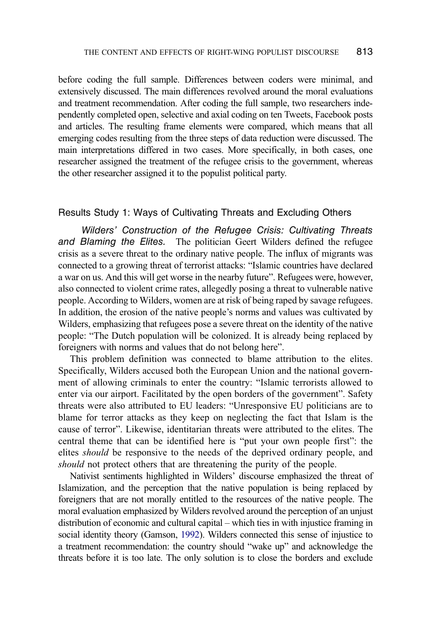before coding the full sample. Differences between coders were minimal, and extensively discussed. The main differences revolved around the moral evaluations and treatment recommendation. After coding the full sample, two researchers independently completed open, selective and axial coding on ten Tweets, Facebook posts and articles. The resulting frame elements were compared, which means that all emerging codes resulting from the three steps of data reduction were discussed. The main interpretations differed in two cases. More specifically, in both cases, one researcher assigned the treatment of the refugee crisis to the government, whereas the other researcher assigned it to the populist political party.

#### Results Study 1: Ways of Cultivating Threats and Excluding Others

Wilders' Construction of the Refugee Crisis: Cultivating Threats and Blaming the Elites. The politician Geert Wilders defined the refugee crisis as a severe threat to the ordinary native people. The influx of migrants was connected to a growing threat of terrorist attacks: "Islamic countries have declared a war on us. And this will get worse in the nearby future". Refugees were, however, also connected to violent crime rates, allegedly posing a threat to vulnerable native people. According to Wilders, women are at risk of being raped by savage refugees. In addition, the erosion of the native people's norms and values was cultivated by Wilders, emphasizing that refugees pose a severe threat on the identity of the native people: "The Dutch population will be colonized. It is already being replaced by foreigners with norms and values that do not belong here".

This problem definition was connected to blame attribution to the elites. Specifically, Wilders accused both the European Union and the national government of allowing criminals to enter the country: "Islamic terrorists allowed to enter via our airport. Facilitated by the open borders of the government". Safety threats were also attributed to EU leaders: "Unresponsive EU politicians are to blame for terror attacks as they keep on neglecting the fact that Islam is the cause of terror". Likewise, identitarian threats were attributed to the elites. The central theme that can be identified here is "put your own people first": the elites should be responsive to the needs of the deprived ordinary people, and should not protect others that are threatening the purity of the people.

Nativist sentiments highlighted in Wilders' discourse emphasized the threat of Islamization, and the perception that the native population is being replaced by foreigners that are not morally entitled to the resources of the native people. The moral evaluation emphasized by Wilders revolved around the perception of an unjust distribution of economic and cultural capital – which ties in with injustice framing in social identity theory (Gamson, [1992\)](#page-21-12). Wilders connected this sense of injustice to a treatment recommendation: the country should "wake up" and acknowledge the threats before it is too late. The only solution is to close the borders and exclude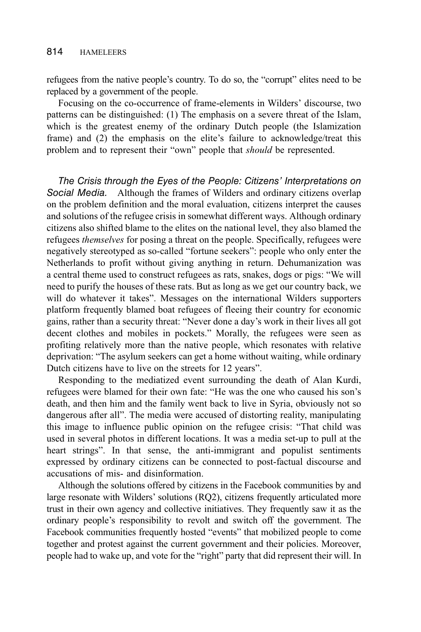refugees from the native people's country. To do so, the "corrupt" elites need to be replaced by a government of the people.

Focusing on the co-occurrence of frame-elements in Wilders' discourse, two patterns can be distinguished: (1) The emphasis on a severe threat of the Islam, which is the greatest enemy of the ordinary Dutch people (the Islamization frame) and (2) the emphasis on the elite's failure to acknowledge/treat this problem and to represent their "own" people that should be represented.

The Crisis through the Eyes of the People: Citizens' Interpretations on Social Media. Although the frames of Wilders and ordinary citizens overlap on the problem definition and the moral evaluation, citizens interpret the causes and solutions of the refugee crisis in somewhat different ways. Although ordinary citizens also shifted blame to the elites on the national level, they also blamed the refugees themselves for posing a threat on the people. Specifically, refugees were negatively stereotyped as so-called "fortune seekers": people who only enter the Netherlands to profit without giving anything in return. Dehumanization was a central theme used to construct refugees as rats, snakes, dogs or pigs: "We will need to purify the houses of these rats. But as long as we get our country back, we will do whatever it takes". Messages on the international Wilders supporters platform frequently blamed boat refugees of fleeing their country for economic gains, rather than a security threat: "Never done a day's work in their lives all got decent clothes and mobiles in pockets." Morally, the refugees were seen as profiting relatively more than the native people, which resonates with relative deprivation: "The asylum seekers can get a home without waiting, while ordinary Dutch citizens have to live on the streets for 12 years".

Responding to the mediatized event surrounding the death of Alan Kurdi, refugees were blamed for their own fate: "He was the one who caused his son's death, and then him and the family went back to live in Syria, obviously not so dangerous after all". The media were accused of distorting reality, manipulating this image to influence public opinion on the refugee crisis: "That child was used in several photos in different locations. It was a media set-up to pull at the heart strings". In that sense, the anti-immigrant and populist sentiments expressed by ordinary citizens can be connected to post-factual discourse and accusations of mis- and disinformation.

Although the solutions offered by citizens in the Facebook communities by and large resonate with Wilders' solutions (RQ2), citizens frequently articulated more trust in their own agency and collective initiatives. They frequently saw it as the ordinary people's responsibility to revolt and switch off the government. The Facebook communities frequently hosted "events" that mobilized people to come together and protest against the current government and their policies. Moreover, people had to wake up, and vote for the "right" party that did represent their will. In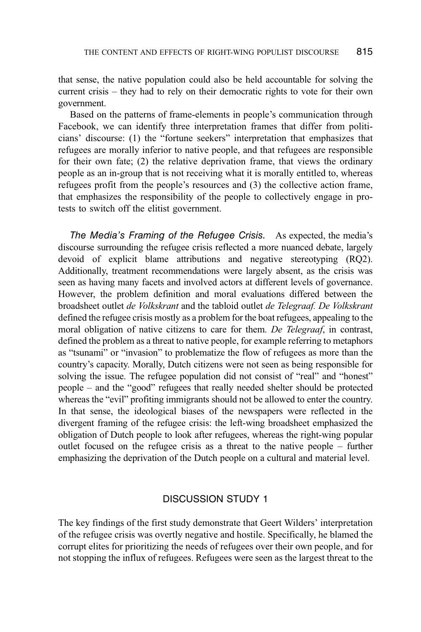that sense, the native population could also be held accountable for solving the current crisis – they had to rely on their democratic rights to vote for their own government.

Based on the patterns of frame-elements in people's communication through Facebook, we can identify three interpretation frames that differ from politicians' discourse: (1) the "fortune seekers" interpretation that emphasizes that refugees are morally inferior to native people, and that refugees are responsible for their own fate; (2) the relative deprivation frame, that views the ordinary people as an in-group that is not receiving what it is morally entitled to, whereas refugees profit from the people's resources and (3) the collective action frame, that emphasizes the responsibility of the people to collectively engage in protests to switch off the elitist government.

The Media's Framing of the Refugee Crisis. As expected, the media's discourse surrounding the refugee crisis reflected a more nuanced debate, largely devoid of explicit blame attributions and negative stereotyping (RQ2). Additionally, treatment recommendations were largely absent, as the crisis was seen as having many facets and involved actors at different levels of governance. However, the problem definition and moral evaluations differed between the broadsheet outlet de Volkskrant and the tabloid outlet de Telegraaf. De Volkskrant defined the refugee crisis mostly as a problem for the boat refugees, appealing to the moral obligation of native citizens to care for them. De Telegraaf, in contrast, defined the problem as a threat to native people, for example referring to metaphors as "tsunami" or "invasion" to problematize the flow of refugees as more than the country's capacity. Morally, Dutch citizens were not seen as being responsible for solving the issue. The refugee population did not consist of "real" and "honest" people – and the "good" refugees that really needed shelter should be protected whereas the "evil" profiting immigrants should not be allowed to enter the country. In that sense, the ideological biases of the newspapers were reflected in the divergent framing of the refugee crisis: the left-wing broadsheet emphasized the obligation of Dutch people to look after refugees, whereas the right-wing popular outlet focused on the refugee crisis as a threat to the native people – further emphasizing the deprivation of the Dutch people on a cultural and material level.

#### DISCUSSION STUDY 1

The key findings of the first study demonstrate that Geert Wilders' interpretation of the refugee crisis was overtly negative and hostile. Specifically, he blamed the corrupt elites for prioritizing the needs of refugees over their own people, and for not stopping the influx of refugees. Refugees were seen as the largest threat to the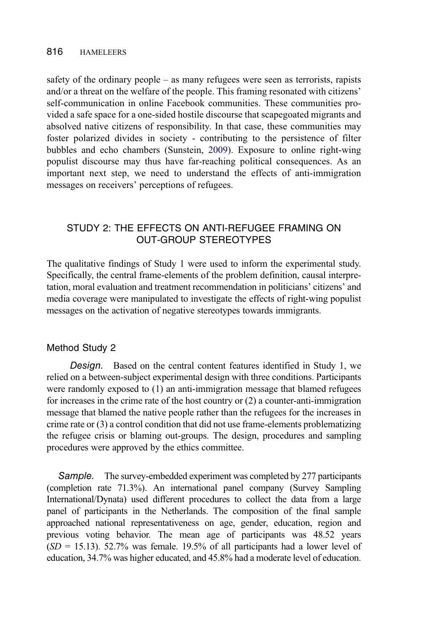<span id="page-13-0"></span>safety of the ordinary people – as many refugees were seen as terrorists, rapists and/or a threat on the welfare of the people. This framing resonated with citizens' self-communication in online Facebook communities. These communities provided a safe space for a one-sided hostile discourse that scapegoated migrants and absolved native citizens of responsibility. In that case, these communities may foster polarized divides in society - contributing to the persistence of filter bubbles and echo chambers (Sunstein, [2009\)](#page-22-13). Exposure to online right-wing populist discourse may thus have far-reaching political consequences. As an important next step, we need to understand the effects of anti-immigration messages on receivers' perceptions of refugees.

# STUDY 2: THE EFFECTS ON ANTI-REFUGEE FRAMING ON OUT-GROUP STEREOTYPES

The qualitative findings of Study 1 were used to inform the experimental study. Specifically, the central frame-elements of the problem definition, causal interpretation, moral evaluation and treatment recommendation in politicians' citizens' and media coverage were manipulated to investigate the effects of right-wing populist messages on the activation of negative stereotypes towards immigrants.

### Method Study 2

Design. Based on the central content features identified in Study 1, we relied on a between-subject experimental design with three conditions. Participants were randomly exposed to (1) an anti-immigration message that blamed refugees for increases in the crime rate of the host country or (2) a counter-anti-immigration message that blamed the native people rather than the refugees for the increases in crime rate or (3) a control condition that did not use frame-elements problematizing the refugee crisis or blaming out-groups. The design, procedures and sampling procedures were approved by the ethics committee.

Sample. The survey-embedded experiment was completed by 277 participants (completion rate 71.3%). An international panel company (Survey Sampling International/Dynata) used different procedures to collect the data from a large panel of participants in the Netherlands. The composition of the final sample approached national representativeness on age, gender, education, region and previous voting behavior. The mean age of participants was 48.52 years  $(SD = 15.13)$ . 52.7% was female. 19.5% of all participants had a lower level of education, 34.7% was higher educated, and 45.8% had a moderate level of education.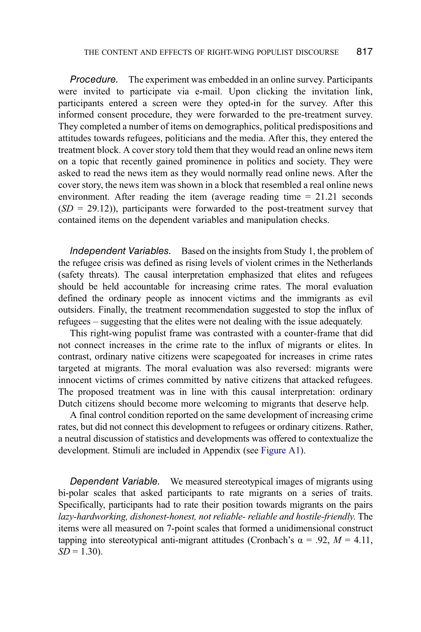Procedure. The experiment was embedded in an online survey. Participants were invited to participate via e-mail. Upon clicking the invitation link, participants entered a screen were they opted-in for the survey. After this informed consent procedure, they were forwarded to the pre-treatment survey. They completed a number of items on demographics, political predispositions and attitudes towards refugees, politicians and the media. After this, they entered the treatment block. A cover story told them that they would read an online news item on a topic that recently gained prominence in politics and society. They were asked to read the news item as they would normally read online news. After the cover story, the news item was shown in a block that resembled a real online news environment. After reading the item (average reading time = 21.21 seconds  $(SD = 29.12)$ , participants were forwarded to the post-treatment survey that contained items on the dependent variables and manipulation checks.

Independent Variables. Based on the insights from Study 1, the problem of the refugee crisis was defined as rising levels of violent crimes in the Netherlands (safety threats). The causal interpretation emphasized that elites and refugees should be held accountable for increasing crime rates. The moral evaluation defined the ordinary people as innocent victims and the immigrants as evil outsiders. Finally, the treatment recommendation suggested to stop the influx of refugees – suggesting that the elites were not dealing with the issue adequately.

This right-wing populist frame was contrasted with a counter-frame that did not connect increases in the crime rate to the influx of migrants or elites. In contrast, ordinary native citizens were scapegoated for increases in crime rates targeted at migrants. The moral evaluation was also reversed: migrants were innocent victims of crimes committed by native citizens that attacked refugees. The proposed treatment was in line with this causal interpretation: ordinary Dutch citizens should become more welcoming to migrants that deserve help.

A final control condition reported on the same development of increasing crime rates, but did not connect this development to refugees or ordinary citizens. Rather, a neutral discussion of statistics and developments was offered to contextualize the development. Stimuli are included in Appendix (see [Figure A1](#page-23-0)).

Dependent Variable. We measured stereotypical images of migrants using bi-polar scales that asked participants to rate migrants on a series of traits. Specifically, participants had to rate their position towards migrants on the pairs lazy-hardworking, dishonest-honest, not reliable- reliable and hostile-friendly. The items were all measured on 7-point scales that formed a unidimensional construct tapping into stereotypical anti-migrant attitudes (Cronbach's  $\alpha = .92$ ,  $M = 4.11$ ,  $SD = 1.30$ ).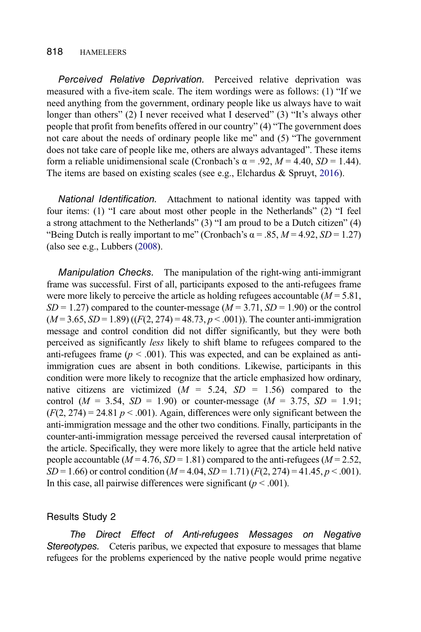Perceived Relative Deprivation. Perceived relative deprivation was measured with a five-item scale. The item wordings were as follows: (1) "If we need anything from the government, ordinary people like us always have to wait longer than others" (2) I never received what I deserved" (3) "It's always other people that profit from benefits offered in our country" (4) "The government does not care about the needs of ordinary people like me" and (5) "The government does not take care of people like me, others are always advantaged". These items form a reliable unidimensional scale (Cronbach's  $\alpha$  = .92, *M* = 4.40, *SD* = 1.44). The items are based on existing scales (see e.g., Elchardus & Spruyt, [2016\)](#page-21-14).

National Identification. Attachment to national identity was tapped with four items: (1) "I care about most other people in the Netherlands" (2) "I feel a strong attachment to the Netherlands" (3) "I am proud to be a Dutch citizen" (4) "Being Dutch is really important to me" (Cronbach's  $\alpha$  = .85, *M* = 4.92, *SD* = 1.27) (also see e.g., Lubbers ([2008](#page-22-14)).

<span id="page-15-0"></span>Manipulation Checks. The manipulation of the right-wing anti-immigrant frame was successful. First of all, participants exposed to the anti-refugees frame were more likely to perceive the article as holding refugees accountable  $(M = 5.81,$  $SD = 1.27$ ) compared to the counter-message ( $M = 3.71$ ,  $SD = 1.90$ ) or the control  $(M = 3.65, SD = 1.89)$  ( $(F(2, 274) = 48.73, p < .001)$ ). The counter anti-immigration message and control condition did not differ significantly, but they were both perceived as significantly less likely to shift blame to refugees compared to the anti-refugees frame ( $p < .001$ ). This was expected, and can be explained as antiimmigration cues are absent in both conditions. Likewise, participants in this condition were more likely to recognize that the article emphasized how ordinary, native citizens are victimized  $(M = 5.24, SD = 1.56)$  compared to the control ( $M = 3.54$ ,  $SD = 1.90$ ) or counter-message ( $M = 3.75$ ,  $SD = 1.91$ ;  $(F(2, 274) = 24.81 \, p \leq .001)$ . Again, differences were only significant between the anti-immigration message and the other two conditions. Finally, participants in the counter-anti-immigration message perceived the reversed causal interpretation of the article. Specifically, they were more likely to agree that the article held native people accountable ( $M = 4.76$ ,  $SD = 1.81$ ) compared to the anti-refugees ( $M = 2.52$ ,  $SD = 1.66$ ) or control condition ( $M = 4.04$ ,  $SD = 1.71$ ) ( $F(2, 274) = 41.45$ ,  $p < .001$ ). In this case, all pairwise differences were significant ( $p < .001$ ).

#### Results Study 2

The Direct Effect of Anti-refugees Messages on Negative Stereotypes. Ceteris paribus, we expected that exposure to messages that blame refugees for the problems experienced by the native people would prime negative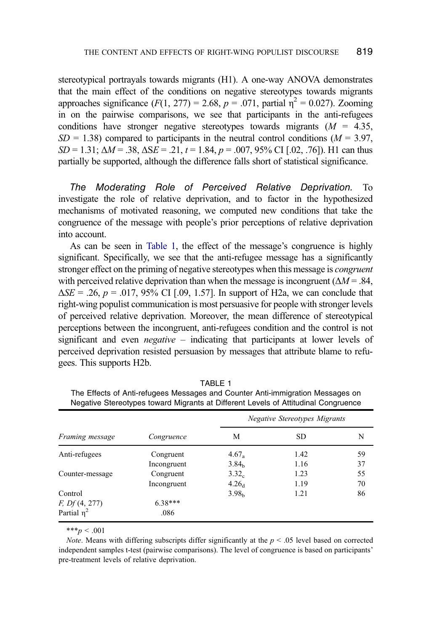stereotypical portrayals towards migrants (H1). A one-way ANOVA demonstrates that the main effect of the conditions on negative stereotypes towards migrants approaches significance  $(F(1, 277) = 2.68, p = .071,$  partial  $p^2 = 0.027$ ). Zooming in on the pairwise comparisons, we see that participants in the anti-refugees conditions have stronger negative stereotypes towards migrants  $(M = 4.35,$  $SD = 1.38$ ) compared to participants in the neutral control conditions ( $M = 3.97$ ,  $SD = 1.31$ ;  $\Delta M = .38$ ,  $\Delta SE = .21$ ,  $t = 1.84$ ,  $p = .007$ ,  $95\%$  CI [.02, .76]). H1 can thus partially be supported, although the difference falls short of statistical significance.

The Moderating Role of Perceived Relative Deprivation. To investigate the role of relative deprivation, and to factor in the hypothesized mechanisms of motivated reasoning, we computed new conditions that take the congruence of the message with people's prior perceptions of relative deprivation into account.

As can be seen in [Table 1](#page-16-0), the effect of the message's congruence is highly significant. Specifically, we see that the anti-refugee message has a significantly stronger effect on the priming of negative stereotypes when this message is congruent with perceived relative deprivation than when the message is incongruent ( $\Delta M = .84$ ,  $\Delta SE = .26$ ,  $p = .017$ , 95% CI [.09, 1.57]. In support of H2a, we can conclude that right-wing populist communication is most persuasive for people with stronger levels of perceived relative deprivation. Moreover, the mean difference of stereotypical perceptions between the incongruent, anti-refugees condition and the control is not significant and even *negative* – indicating that participants at lower levels of perceived deprivation resisted persuasion by messages that attribute blame to refugees. This supports H2b.

|                  |             | <b>Negative Stereotypes Migrants</b> |           |    |  |
|------------------|-------------|--------------------------------------|-----------|----|--|
| Framing message  | Congruence  | М                                    | <b>SD</b> | N  |  |
| Anti-refugees    | Congruent   | $4.67_a$                             | 1.42      | 59 |  |
|                  | Incongruent | 3.84 <sub>b</sub>                    | 1.16      | 37 |  |
| Counter-message  | Congruent   | 3.32 <sub>c</sub>                    | 1.23      | 55 |  |
|                  | Incongruent | 4.26 <sub>d</sub>                    | 1.19      | 70 |  |
| Control          |             | 3.98 <sub>h</sub>                    | 1.21      | 86 |  |
| F, Df(4, 277)    | $6.38***$   |                                      |           |    |  |
| Partial $\eta^2$ | .086        |                                      |           |    |  |

TABLE 1

<span id="page-16-0"></span>The Effects of Anti-refugees Messages and Counter Anti-immigration Messages on Negative Stereotypes toward Migrants at Different Levels of Attitudinal Congruence

 $***p < .001$ 

*Note.* Means with differing subscripts differ significantly at the  $p < .05$  level based on corrected independent samples t-test (pairwise comparisons). The level of congruence is based on participants' pre-treatment levels of relative deprivation.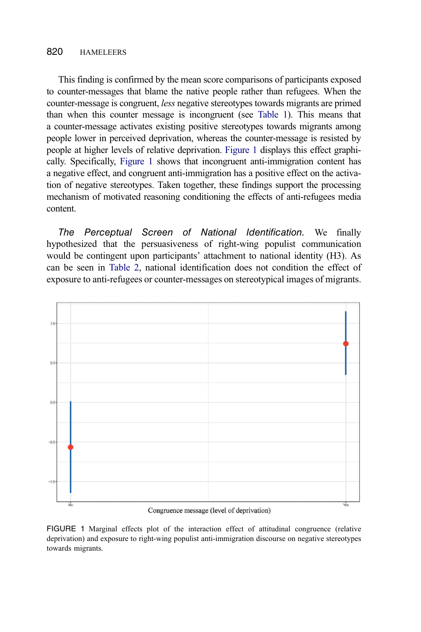This finding is confirmed by the mean score comparisons of participants exposed to counter-messages that blame the native people rather than refugees. When the counter-message is congruent, less negative stereotypes towards migrants are primed than when this counter message is incongruent (see [Table 1](#page-16-0)). This means that a counter-message activates existing positive stereotypes towards migrants among people lower in perceived deprivation, whereas the counter-message is resisted by people at higher levels of relative deprivation. [Figure 1](#page-17-0) displays this effect graphically. Specifically, [Figure 1](#page-17-0) shows that incongruent anti-immigration content has a negative effect, and congruent anti-immigration has a positive effect on the activation of negative stereotypes. Taken together, these findings support the processing mechanism of motivated reasoning conditioning the effects of anti-refugees media content.

The Perceptual Screen of National Identification. We finally hypothesized that the persuasiveness of right-wing populist communication would be contingent upon participants' attachment to national identity (H3). As can be seen in [Table 2,](#page-18-0) national identification does not condition the effect of exposure to anti-refugees or counter-messages on stereotypical images of migrants.



Congruence message (level of deprivation)

<span id="page-17-0"></span>FIGURE 1 Marginal effects plot of the interaction effect of attitudinal congruence (relative deprivation) and exposure to right-wing populist anti-immigration discourse on negative stereotypes towards migrants.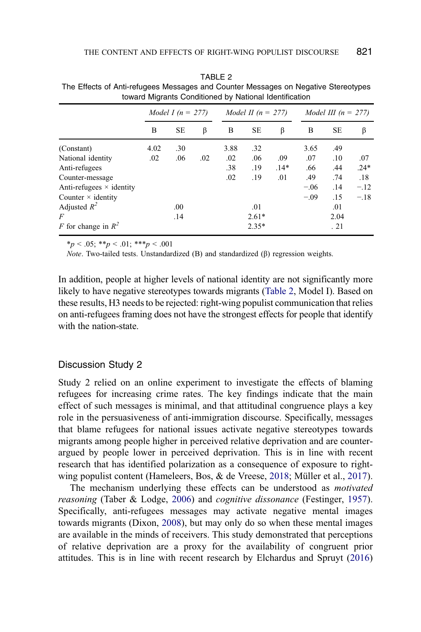|                                 | Model I ( $n = 277$ ) |           |     | Model II $(n = 277)$ |           | Model III $(n = 277)$ |        |           |        |
|---------------------------------|-----------------------|-----------|-----|----------------------|-----------|-----------------------|--------|-----------|--------|
|                                 | B                     | <b>SE</b> | β   | B                    | <b>SE</b> | β                     | B      | <b>SE</b> | β      |
| (Constant)                      | 4.02                  | .30       |     | 3.88                 | .32       |                       | 3.65   | .49       |        |
| National identity               | .02                   | .06       | .02 | .02                  | .06       | .09                   | .07    | .10       | .07    |
| Anti-refugees                   |                       |           |     | .38                  | .19       | $.14*$                | .66    | .44       | $.24*$ |
| Counter-message                 |                       |           |     | .02                  | .19       | .01                   | .49    | .74       | .18    |
| Anti-refugees $\times$ identity |                       |           |     |                      |           |                       | $-.06$ | .14       | $-.12$ |
| Counter $\times$ identity       |                       |           |     |                      |           |                       | $-.09$ | .15       | $-.18$ |
| Adjusted $R^2$                  |                       | .00       |     |                      | .01       |                       |        | .01       |        |
| F                               |                       | .14       |     |                      | $2.61*$   |                       |        | 2.04      |        |
| F for change in $R^2$           |                       |           |     |                      | $2.35*$   |                       |        | . 21      |        |

<span id="page-18-0"></span>TABLE 2 The Effects of Anti-refugees Messages and Counter Messages on Negative Stereotypes toward Migrants Conditioned by National Identification

 $**p* < .05; ***p* < .01; ****p* < .001$ 

Note. Two-tailed tests. Unstandardized (B) and standardized (β) regression weights.

In addition, people at higher levels of national identity are not significantly more likely to have negative stereotypes towards migrants [\(Table 2](#page-18-0), Model I). Based on these results, H3 needs to be rejected: right-wing populist communication that relies on anti-refugees framing does not have the strongest effects for people that identify with the nation-state.

#### Discussion Study 2

Study 2 relied on an online experiment to investigate the effects of blaming refugees for increasing crime rates. The key findings indicate that the main effect of such messages is minimal, and that attitudinal congruence plays a key role in the persuasiveness of anti-immigration discourse. Specifically, messages that blame refugees for national issues activate negative stereotypes towards migrants among people higher in perceived relative deprivation and are counterargued by people lower in perceived deprivation. This is in line with recent research that has identified polarization as a consequence of exposure to rightwing populist content (Hameleers, Bos, & de Vreese, [2018;](#page-21-20) Müller et al., [2017\)](#page-22-0).

<span id="page-18-1"></span>The mechanism underlying these effects can be understood as *motivated* reasoning (Taber & Lodge, [2006](#page-22-12)) and cognitive dissonance (Festinger, [1957\)](#page-21-15). Specifically, anti-refugees messages may activate negative mental images towards migrants (Dixon, [2008](#page-21-10)), but may only do so when these mental images are available in the minds of receivers. This study demonstrated that perceptions of relative deprivation are a proxy for the availability of congruent prior attitudes. This is in line with recent research by Elchardus and Spruyt [\(2016](#page-21-14))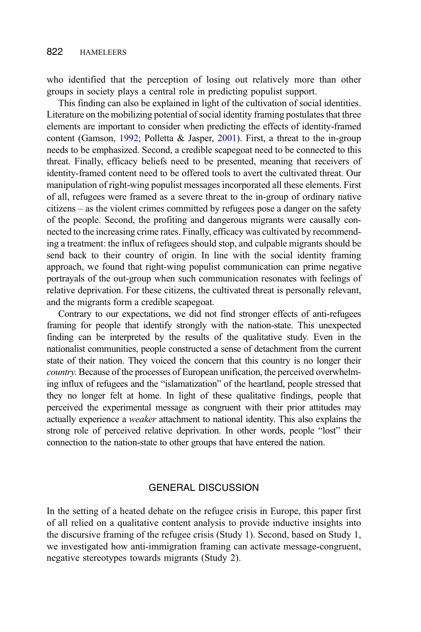who identified that the perception of losing out relatively more than other groups in society plays a central role in predicting populist support.

This finding can also be explained in light of the cultivation of social identities. Literature on the mobilizing potential of social identity framing postulates that three elements are important to consider when predicting the effects of identity-framed content (Gamson, [1992;](#page-21-12) Polletta & Jasper, [2001\)](#page-22-10). First, a threat to the in-group needs to be emphasized. Second, a credible scapegoat need to be connected to this threat. Finally, efficacy beliefs need to be presented, meaning that receivers of identity-framed content need to be offered tools to avert the cultivated threat. Our manipulation of right-wing populist messages incorporated all these elements. First of all, refugees were framed as a severe threat to the in-group of ordinary native citizens – as the violent crimes committed by refugees pose a danger on the safety of the people. Second, the profiting and dangerous migrants were causally connected to the increasing crime rates. Finally, efficacy was cultivated by recommending a treatment: the influx of refugees should stop, and culpable migrants should be send back to their country of origin. In line with the social identity framing approach, we found that right-wing populist communication can prime negative portrayals of the out-group when such communication resonates with feelings of relative deprivation. For these citizens, the cultivated threat is personally relevant, and the migrants form a credible scapegoat.

Contrary to our expectations, we did not find stronger effects of anti-refugees framing for people that identify strongly with the nation-state. This unexpected finding can be interpreted by the results of the qualitative study. Even in the nationalist communities, people constructed a sense of detachment from the current state of their nation. They voiced the concern that this country is no longer their country. Because of the processes of European unification, the perceived overwhelming influx of refugees and the "islamatization" of the heartland, people stressed that they no longer felt at home. In light of these qualitative findings, people that perceived the experimental message as congruent with their prior attitudes may actually experience a weaker attachment to national identity. This also explains the strong role of perceived relative deprivation. In other words, people "lost" their connection to the nation-state to other groups that have entered the nation.

### GENERAL DISCUSSION

In the setting of a heated debate on the refugee crisis in Europe, this paper first of all relied on a qualitative content analysis to provide inductive insights into the discursive framing of the refugee crisis (Study 1). Second, based on Study 1, we investigated how anti-immigration framing can activate message-congruent, negative stereotypes towards migrants (Study 2).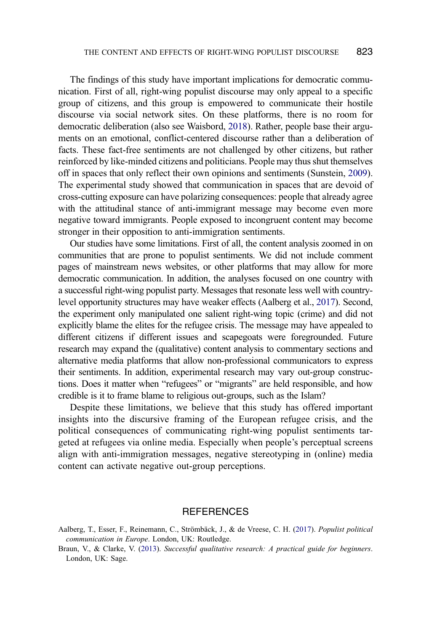<span id="page-20-2"></span>The findings of this study have important implications for democratic communication. First of all, right-wing populist discourse may only appeal to a specific group of citizens, and this group is empowered to communicate their hostile discourse via social network sites. On these platforms, there is no room for democratic deliberation (also see Waisbord, [2018\)](#page-22-15). Rather, people base their arguments on an emotional, conflict-centered discourse rather than a deliberation of facts. These fact-free sentiments are not challenged by other citizens, but rather reinforced by like-minded citizens and politicians. People may thus shut themselves off in spaces that only reflect their own opinions and sentiments (Sunstein, [2009\)](#page-22-13). The experimental study showed that communication in spaces that are devoid of cross-cutting exposure can have polarizing consequences: people that already agree with the attitudinal stance of anti-immigrant message may become even more negative toward immigrants. People exposed to incongruent content may become stronger in their opposition to anti-immigration sentiments.

Our studies have some limitations. First of all, the content analysis zoomed in on communities that are prone to populist sentiments. We did not include comment pages of mainstream news websites, or other platforms that may allow for more democratic communication. In addition, the analyses focused on one country with a successful right-wing populist party. Messages that resonate less well with countrylevel opportunity structures may have weaker effects (Aalberg et al., [2017\)](#page-20-0). Second, the experiment only manipulated one salient right-wing topic (crime) and did not explicitly blame the elites for the refugee crisis. The message may have appealed to different citizens if different issues and scapegoats were foregrounded. Future research may expand the (qualitative) content analysis to commentary sections and alternative media platforms that allow non-professional communicators to express their sentiments. In addition, experimental research may vary out-group constructions. Does it matter when "refugees" or "migrants" are held responsible, and how credible is it to frame blame to religious out-groups, such as the Islam?

Despite these limitations, we believe that this study has offered important insights into the discursive framing of the European refugee crisis, and the political consequences of communicating right-wing populist sentiments targeted at refugees via online media. Especially when people's perceptual screens align with anti-immigration messages, negative stereotyping in (online) media content can activate negative out-group perceptions.

#### **REFERENCES**

- <span id="page-20-0"></span>Aalberg, T., Esser, F., Reinemann, C., Strömbäck, J., & de Vreese, C. H. [\(2017](#page-4-0)). Populist political communication in Europe. London, UK: Routledge.
- <span id="page-20-1"></span>Braun, V., & Clarke, V. ([2013\)](#page-9-0). Successful qualitative research: A practical guide for beginners. London, UK: Sage.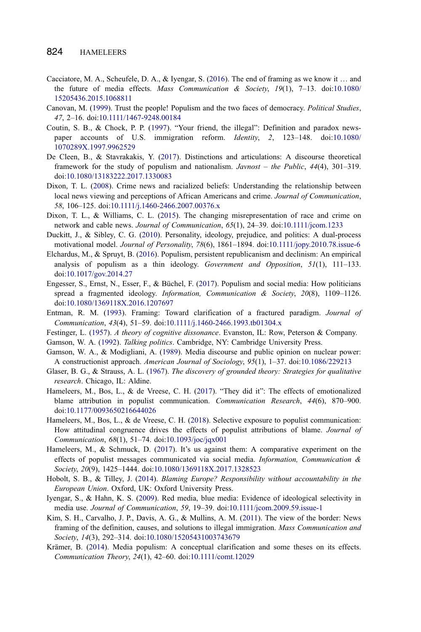- <span id="page-21-6"></span>Cacciatore, M. A., Scheufele, D. A., & Iyengar, S. ([2016\)](#page-4-1). The end of framing as we know it … and the future of media effects. Mass Communication & Society, 19(1), 7-13. doi[:10.1080/](http://dx.doi.org/10.1080/15205436.2015.1068811) [15205436.2015.1068811](http://dx.doi.org/10.1080/15205436.2015.1068811)
- <span id="page-21-1"></span>Canovan, M. ([1999\)](#page-3-0). Trust the people! Populism and the two faces of democracy. Political Studies, 47, 2–16. doi:[10.1111/1467-9248.00184](http://dx.doi.org/10.1111/1467-9248.00184)
- <span id="page-21-9"></span>Coutin, S. B., & Chock, P. P. ([1997](#page-4-2)). "Your friend, the illegal": Definition and paradox newspaper accounts of U.S. immigration reform. Identity, 2, 123–148. doi:[10.1080/](http://dx.doi.org/10.1080/1070289X.1997.9962529) [1070289X.1997.9962529](http://dx.doi.org/10.1080/1070289X.1997.9962529)
- <span id="page-21-3"></span>De Cleen, B., & Stavrakakis, Y. [\(2017](#page-3-1)). Distinctions and articulations: A discourse theoretical framework for the study of populism and nationalism. Javnost – the Public, 44(4), 301–319. doi[:10.1080/13183222.2017.1330083](http://dx.doi.org/10.1080/13183222.2017.1330083)
- <span id="page-21-10"></span>Dixon, T. L. ([2008\)](#page-5-0). Crime news and racialized beliefs: Understanding the relationship between local news viewing and perceptions of African Americans and crime. Journal of Communication, 58, 106–125. doi:[10.1111/j.1460-2466.2007.00376.x](http://dx.doi.org/10.1111/j.1460-2466.2007.00376.x)
- <span id="page-21-4"></span>Dixon, T. L., & Williams, C. L. ([2015\)](#page-4-3). The changing misrepresentation of race and crime on network and cable news. Journal of Communication, 65(1), 24–39. doi:[10.1111/jcom.1233](http://dx.doi.org/10.1111/jcom.1233)
- <span id="page-21-2"></span>Duckitt, J., & Sibley, C. G. ([2010\)](#page-3-2). Personality, ideology, prejudice, and politics: A dual-process motivational model. Journal of Personality, 78(6), 1861-1894. doi:[10.1111/jopy.2010.78.issue-6](http://dx.doi.org/10.1111/jopy.2010.78.issue-6)
- <span id="page-21-14"></span>Elchardus, M., & Spruyt, B. ([2016\)](#page-7-0). Populism, persistent republicanism and declinism: An empirical analysis of populism as a thin ideology. Government and Opposition, 51(1), 111–133. doi[:10.1017/gov.2014.27](http://dx.doi.org/10.1017/gov.2014.27)
- <span id="page-21-0"></span>Engesser, S., Ernst, N., Esser, F., & Büchel, F. [\(2017](#page-2-0)). Populism and social media: How politicians spread a fragmented ideology. Information, Communication & Society, 20(8), 1109-1126. doi[:10.1080/1369118X.2016.1207697](http://dx.doi.org/10.1080/1369118X.2016.1207697)
- <span id="page-21-7"></span>Entman, R. M. [\(1993](#page-4-4)). Framing: Toward clarification of a fractured paradigm. Journal of Communication, 43(4), 51–59. doi:[10.1111/j.1460-2466.1993.tb01304.x](http://dx.doi.org/10.1111/j.1460-2466.1993.tb01304.x)
- <span id="page-21-15"></span>Festinger, L. [\(1957](#page-7-1)). A theory of cognitive dissonance. Evanston, IL: Row, Peterson & Company.
- <span id="page-21-12"></span>Gamson, W. A. ([1992\)](#page-6-0). Talking politics. Cambridge, NY: Cambridge University Press.
- <span id="page-21-8"></span>Gamson, W. A., & Modigliani, A. ([1989\)](#page-4-5). Media discourse and public opinion on nuclear power: A constructionist approach. American Journal of Sociology, 95(1), 1–37. doi:[10.1086/229213](http://dx.doi.org/10.1086/229213)
- <span id="page-21-18"></span>Glaser, B. G., & Strauss, A. L. [\(1967](#page-8-0)). The discovery of grounded theory: Strategies for qualitative research. Chicago, IL: Aldine.
- <span id="page-21-11"></span>Hameleers, M., Bos, L., & de Vreese, C. H. ([2017\)](#page-5-1). "They did it": The effects of emotionalized blame attribution in populist communication. Communication Research, 44(6), 870–900. doi[:10.1177/0093650216644026](http://dx.doi.org/10.1177/0093650216644026)
- <span id="page-21-20"></span>Hameleers, M., Bos, L., & de Vreese, C. H. ([2018\)](#page-18-1). Selective exposure to populist communication: How attitudinal congruence drives the effects of populist attributions of blame. Journal of Communication, 68(1), 51–74. doi:[10.1093/joc/jqx001](http://dx.doi.org/10.1093/joc/jqx001)
- <span id="page-21-13"></span>Hameleers, M., & Schmuck, D. [\(2017](#page-6-1)). It's us against them: A comparative experiment on the effects of populist messages communicated via social media. Information, Communication  $\&$ Society, 20(9), 1425–1444. doi[:10.1080/1369118X.2017.1328523](http://dx.doi.org/10.1080/1369118X.2017.1328523)
- <span id="page-21-17"></span>Hobolt, S. B., & Tilley, J. ([2014\)](#page-7-2). Blaming Europe? Responsibility without accountability in the European Union. Oxford, UK: Oxford University Press.
- <span id="page-21-16"></span>Iyengar, S., & Hahn, K. S. [\(2009\)](#page-7-3). Red media, blue media: Evidence of ideological selectivity in media use. Journal of Communication, 59, 19-39. doi[:10.1111/jcom.2009.59.issue-1](http://dx.doi.org/10.1111/jcom.2009.59.issue-1)
- <span id="page-21-5"></span>Kim, S. H., Carvalho, J. P., Davis, A. G., & Mullins, A. M. ([2011\)](#page-4-6). The view of the border: News framing of the definition, causes, and solutions to illegal immigration. Mass Communication and Society, 14(3), 292–314. doi[:10.1080/15205431003743679](http://dx.doi.org/10.1080/15205431003743679)
- <span id="page-21-19"></span>Krämer, B. [\(2014](#page-8-1)). Media populism: A conceptual clarification and some theses on its effects. Communication Theory, 24(1), 42–60. doi[:10.1111/comt.12029](http://dx.doi.org/10.1111/comt.12029)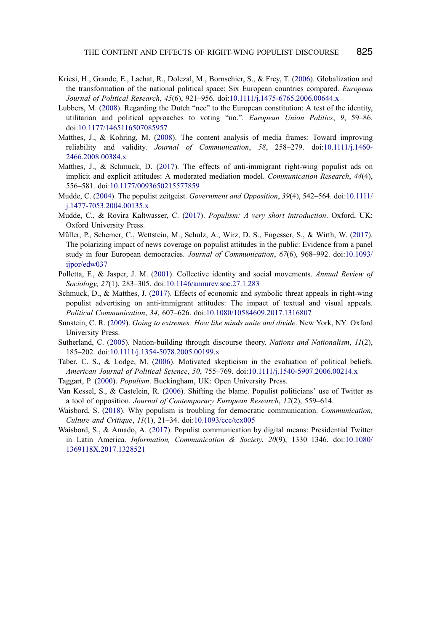- <span id="page-22-11"></span>Kriesi, H., Grande, E., Lachat, R., Dolezal, M., Bornschier, S., & Frey, T. [\(2006](#page-7-4)). Globalization and the transformation of the national political space: Six European countries compared. European Journal of Political Research, 45(6), 921–956. doi:[10.1111/j.1475-6765.2006.00644.x](http://dx.doi.org/10.1111/j.1475-6765.2006.00644.x)
- <span id="page-22-14"></span>Lubbers, M. [\(2008](#page-15-0)). Regarding the Dutch "nee" to the European constitution: A test of the identity, utilitarian and political approaches to voting "no.". European Union Politics, 9, 59–86. doi[:10.1177/1465116507085957](http://dx.doi.org/10.1177/1465116507085957)
- <span id="page-22-8"></span>Matthes, J., & Kohring, M. ([2008\)](#page-4-4). The content analysis of media frames: Toward improving reliability and validity. Journal of Communication, 58, 258–279. doi[:10.1111/j.1460-](http://dx.doi.org/10.1111/j.1460-2466.2008.00384.x) [2466.2008.00384.x](http://dx.doi.org/10.1111/j.1460-2466.2008.00384.x)
- <span id="page-22-9"></span>Matthes, J., & Schmuck, D. [\(2017](#page-5-2)). The effects of anti-immigrant right-wing populist ads on implicit and explicit attitudes: A moderated mediation model. Communication Research, 44(4), 556–581. doi:[10.1177/0093650215577859](http://dx.doi.org/10.1177/0093650215577859)
- <span id="page-22-3"></span>Mudde, C. [\(2004](#page-3-0)). The populist zeitgeist. Government and Opposition, 39(4), 542–564. doi[:10.1111/](http://dx.doi.org/10.1111/j.1477-7053.2004.00135.x) [j.1477-7053.2004.00135.x](http://dx.doi.org/10.1111/j.1477-7053.2004.00135.x)
- <span id="page-22-5"></span>Mudde, C., & Rovira Kaltwasser, C. ([2017\)](#page-3-3). Populism: A very short introduction. Oxford, UK: Oxford University Press.
- <span id="page-22-0"></span>Müller, P., Schemer, C., Wettstein, M., Schulz, A., Wirz, D. S., Engesser, S., & Wirth, W. ([2017\)](#page-2-1). The polarizing impact of news coverage on populist attitudes in the public: Evidence from a panel study in four European democracies. Journal of Communication, 67(6), 968–992. doi[:10.1093/](http://dx.doi.org/10.1093/ijpor/edw037) [ijpor/edw037](http://dx.doi.org/10.1093/ijpor/edw037)
- <span id="page-22-10"></span>Polletta, F., & Jasper, J. M. ([2001\)](#page-6-2). Collective identity and social movements. Annual Review of Sociology, 27(1), 283–305. doi:[10.1146/annurev.soc.27.1.283](http://dx.doi.org/10.1146/annurev.soc.27.1.283)
- <span id="page-22-7"></span>Schmuck, D., & Matthes, J. ([2017\)](#page-4-3). Effects of economic and symbolic threat appeals in right-wing populist advertising on anti-immigrant attitudes: The impact of textual and visual appeals. Political Communication, 34, 607–626. doi[:10.1080/10584609.2017.1316807](http://dx.doi.org/10.1080/10584609.2017.1316807)
- <span id="page-22-13"></span>Sunstein, C. R. ([2009](#page-13-0)). Going to extremes: How like minds unite and divide. New York, NY: Oxford University Press.
- <span id="page-22-6"></span>Sutherland, C. ([2005\)](#page-3-4). Nation-building through discourse theory. Nations and Nationalism, 11(2), 185–202. doi:[10.1111/j.1354-5078.2005.00199.x](http://dx.doi.org/10.1111/j.1354-5078.2005.00199.x)
- <span id="page-22-12"></span>Taber, C. S., & Lodge, M. ([2006\)](#page-7-1). Motivated skepticism in the evaluation of political beliefs. American Journal of Political Science, 50, 755–769. doi:[10.1111/j.1540-5907.2006.00214.x](http://dx.doi.org/10.1111/j.1540-5907.2006.00214.x)
- <span id="page-22-4"></span>Taggart, P. ([2000\)](#page-3-5). Populism. Buckingham, UK: Open University Press.
- <span id="page-22-1"></span>Van Kessel, S., & Castelein, R. [\(2006](#page-2-0)). Shifting the blame. Populist politicians' use of Twitter as a tool of opposition. Journal of Contemporary European Research, 12(2), 559–614.
- <span id="page-22-15"></span>Waisbord, S. ([2018\)](#page-20-2). Why populism is troubling for democratic communication. Communication, Culture and Critique, 11(1), 21–34. doi[:10.1093/ccc/tcx005](http://dx.doi.org/10.1093/ccc/tcx005)
- <span id="page-22-2"></span>Waisbord, S., & Amado, A. ([2017\)](#page-2-2). Populist communication by digital means: Presidential Twitter in Latin America. Information, Communication & Society, 20(9), 1330–1346. doi[:10.1080/](http://dx.doi.org/10.1080/1369118X.2017.1328521) [1369118X.2017.1328521](http://dx.doi.org/10.1080/1369118X.2017.1328521)